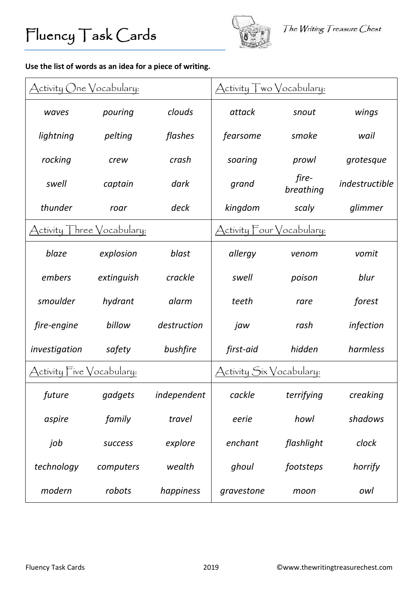

## **Use the list of words as an idea for a piece of writing.**

| Activity One Vocabulary:                      |            |             | Activity Two Vocabulary:  |                    |                |
|-----------------------------------------------|------------|-------------|---------------------------|--------------------|----------------|
| waves                                         | pouring    | clouds      | attack                    | snout              | wings          |
| lightning                                     | pelting    | flashes     | fearsome                  | smoke              | wail           |
| rocking                                       | crew       | crash       | soaring                   | prowl              | grotesque      |
| swell                                         | captain    | dark        | grand                     | fire-<br>breathing | indestructible |
| thunder                                       | roar       | deck        | kingdom                   | scaly              | glimmer        |
| ctivity $\top$ hree $\bigvee$ ocabulary:      |            |             | Activity Four Vocabulary: |                    |                |
| blaze                                         | explosion  | blast       | allergy                   | venom              | vomit          |
| embers                                        | extinguish | crackle     | swell                     | poison             | blur           |
| smoulder                                      | hydrant    | alarm       | teeth                     | rare               | forest         |
| fire-engine                                   | billow     | destruction | jaw                       | rash               | infection      |
| investigation                                 | safety     | bushfire    | first-aid                 | hidden             | harmless       |
| $\chi$ ctivity $\Gamma$ ive $\chi$ ocabulary: |            |             | Activity Six Vocabulary:  |                    |                |
| future                                        | gadgets    | independent | cackle                    | terrifying         | creaking       |
| aspire                                        | family     | travel      | eerie                     | howl               | shadows        |
| job                                           | success    | explore     | enchant                   | flashlight         | clock          |
| technology                                    | computers  | wealth      | ghoul                     | footsteps          | horrify        |
| modern                                        | robots     | happiness   | gravestone                | moon               | owl            |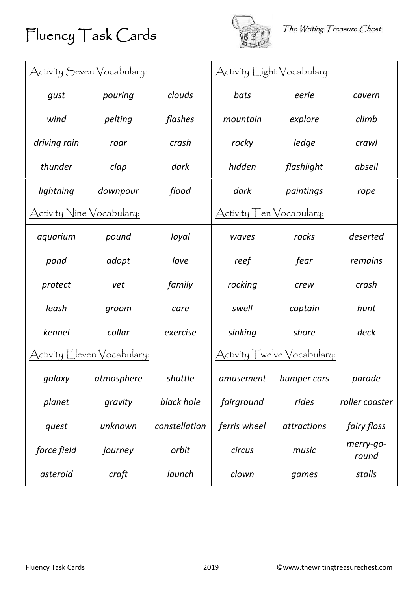



| Activity Seven Vocabulary: |                                           |               |                                            | Activity Eight Vocabulary: |                    |
|----------------------------|-------------------------------------------|---------------|--------------------------------------------|----------------------------|--------------------|
| gust                       | pouring                                   | clouds        | bats                                       | eerie                      | cavern             |
| wind                       | pelting                                   | flashes       | mountain                                   | explore                    | climb              |
| driving rain               | roar                                      | crash         | rocky                                      | ledge                      | crawl              |
| thunder                    | clap                                      | dark          | hidden                                     | flashlight                 | abseil             |
| lightning                  | downpour                                  | flood         | dark                                       | paintings                  | rope               |
| Activity Nine Vocabulary:  |                                           |               | Activity ⊤en Vocabulary:                   |                            |                    |
| aquarium                   | pound                                     | loyal         | waves                                      | rocks                      | deserted           |
| pond                       | adopt                                     | love          | reef                                       | fear                       | remains            |
| protect                    | vet                                       | family        | rocking                                    | crew                       | crash              |
| leash                      | groom                                     | care          | swell                                      | captain                    | hunt               |
| kennel                     | collar                                    | exercise      | sinking                                    | shore                      | deck               |
|                            | ctivity $\Box$ even $\Diamond$ ocabulary: |               | welve $\sqrt{\text{ocabular}}$<br>Activity |                            |                    |
| galaxy                     | atmosphere                                | shuttle       | amusement                                  | bumper cars                | parade             |
| planet                     | gravity                                   | black hole    | fairground                                 | rides                      | roller coaster     |
| quest                      | unknown                                   | constellation | ferris wheel                               | attractions                | fairy floss        |
| force field                | journey                                   | orbit         | circus                                     | music                      | merry-go-<br>round |
| asteroid                   | craft                                     | launch        | clown                                      | games                      | stalls             |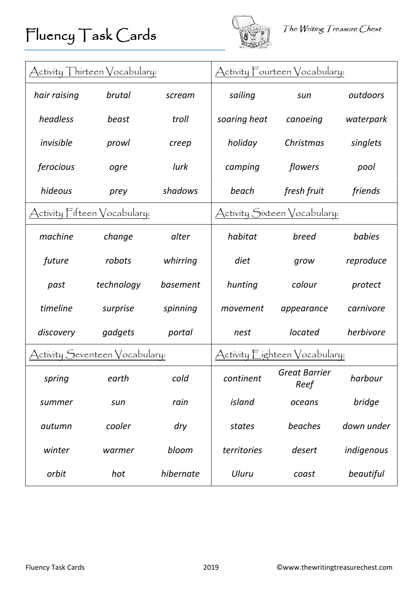

| $\bigwedge$ ctivity $\top$ hirteen $\bigvee$ ocabulary: |                                |           |                                          | Activity Fourteen Vocabulary: |            |
|---------------------------------------------------------|--------------------------------|-----------|------------------------------------------|-------------------------------|------------|
| hair raising                                            | brutal                         | scream    | sailing                                  | sun                           | outdoors   |
| headless                                                | beast                          | troll     | soaring heat                             | canoeing                      | waterpark  |
| invisible                                               | prowl                          | creep     | holiday                                  | Christmas                     | singlets   |
| ferocious                                               | ogre                           | lurk      | camping                                  | flowers                       | pool       |
| hideous                                                 | prey                           | shadows   | beach                                    | fresh fruit                   | friends    |
| Activity Fifteen Vocabulary:                            |                                |           |                                          | Activity Sixteen Vocabulary:  |            |
| machine                                                 | change                         | alter     | habitat                                  | breed                         | babies     |
| future                                                  | robots                         | whirring  | diet                                     | grow                          | reproduce  |
| past                                                    | technology                     | basement  | hunting                                  | colour                        | protect    |
| timeline                                                | surprise                       | spinning  | movement                                 | appearance                    | carnivore  |
| discovery                                               | gadgets                        | portal    | nest                                     | located                       | herbivore  |
|                                                         | Activity Seventeen Vocabulary: |           | Activity $\mathsf E$ ighteen Vocabulary: |                               |            |
| spring                                                  | earth                          | cold      | continent                                | <b>Great Barrier</b><br>Reef  | harbour    |
| summer                                                  | sun                            | rain      | island                                   | oceans                        | bridge     |
| autumn                                                  | cooler                         | dry       | states                                   | beaches                       | down under |
| winter                                                  | warmer                         | bloom     | territories                              | desert                        | indigenous |
| orbit                                                   | hot                            | hibernate | Uluru                                    | coast                         | beautiful  |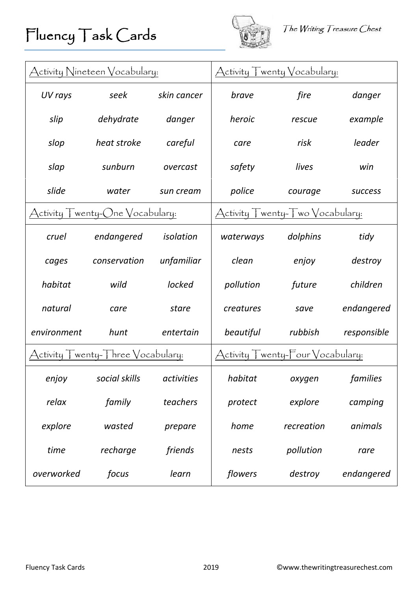

| Activity Nineteen Vocabulary:                             |                                                                              |             |                                                                             | $\displaystyle\operatorname{\mathsf{Activity}}\int$ wenty $\bigvee$ ocabulary: |                |
|-----------------------------------------------------------|------------------------------------------------------------------------------|-------------|-----------------------------------------------------------------------------|--------------------------------------------------------------------------------|----------------|
| UV rays                                                   | seek                                                                         | skin cancer | brave                                                                       | fire                                                                           | danger         |
| slip                                                      | dehydrate                                                                    | danger      | heroic                                                                      | rescue                                                                         | example        |
| slop                                                      | heat stroke                                                                  | careful     | care                                                                        | risk                                                                           | leader         |
| slap                                                      | sunburn                                                                      | overcast    | safety                                                                      | lives                                                                          | win            |
| slide                                                     | water                                                                        | sun cream   | police                                                                      | courage                                                                        | <b>SUCCESS</b> |
| wenty- $\bigcirc$ ne $\bigvee$ ocabulary:<br>ctivity<br>Д |                                                                              |             |                                                                             | Activity Twenty-Two Vocabulary:                                                |                |
| cruel                                                     | endangered                                                                   | isolation   | waterways                                                                   | dolphins                                                                       | tidy           |
| cages                                                     | conservation                                                                 | unfamiliar  | clean                                                                       | enjoy                                                                          | destroy        |
| habitat                                                   | wild                                                                         | locked      | pollution                                                                   | future                                                                         | children       |
| natural                                                   | care                                                                         | stare       | creatures                                                                   | save                                                                           | endangered     |
| environment                                               | hunt                                                                         | entertain   | beautiful                                                                   | rubbish                                                                        | responsible    |
|                                                           | $\bigwedge$ ctivity $\bigwedge$ wenty- $\bigwedge$ hree $\bigvee$ ocabulary: |             | $\bigwedge$ ctivity $\bigwedge$ wenty- $\bigwedge$ our $\bigvee$ ocabulary: |                                                                                |                |
| enjoy                                                     | social skills                                                                | activities  | habitat                                                                     | oxygen                                                                         | families       |
| relax                                                     | family                                                                       | teachers    | protect                                                                     | explore                                                                        | camping        |
| explore                                                   | wasted                                                                       | prepare     | home                                                                        | recreation                                                                     | animals        |
| time                                                      | recharge                                                                     | friends     | nests                                                                       | pollution                                                                      | rare           |
| overworked                                                | focus                                                                        | learn       | flowers                                                                     | destroy                                                                        | endangered     |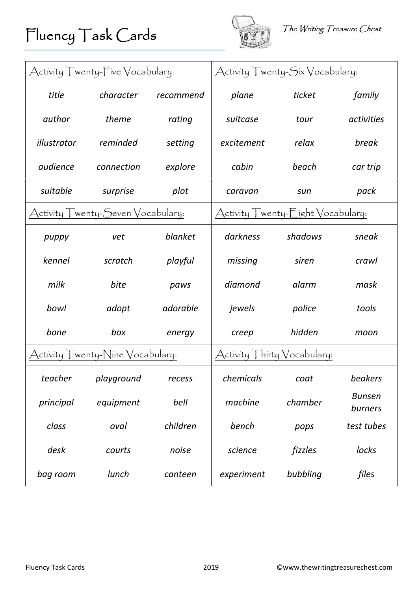



| wenty- $\overline{\vdash}$ ive $\bigvee$ ocabulary:<br>Activity |                                 |           | Activity T <u>wenty-Six Vocabulary:</u>                                                                             |                                                  |                          |
|-----------------------------------------------------------------|---------------------------------|-----------|---------------------------------------------------------------------------------------------------------------------|--------------------------------------------------|--------------------------|
| title                                                           | character                       | recommend | plane                                                                                                               | ticket                                           | family                   |
| author                                                          | theme                           | rating    | suitcase                                                                                                            | tour                                             | activities               |
| illustrator                                                     | reminded                        | setting   | excitement                                                                                                          | relax                                            | break                    |
| audience                                                        | connection                      | explore   | cabin                                                                                                               | beach                                            | car trip                 |
| suitable                                                        | surprise                        | plot      | caravan                                                                                                             | sun                                              | pack                     |
| wenty- $S$ even $\bigvee$ ocabulary:<br>ctivity                 |                                 |           | Activity                                                                                                            | wenty- $\mathsf{E}$ ight $\mathsf{V}$ ocabulary: |                          |
| puppy                                                           | vet                             | blanket   | darkness                                                                                                            | shadows                                          | sneak                    |
| kennel                                                          | scratch                         | playful   | missing                                                                                                             | siren                                            | crawl                    |
| milk                                                            | bite                            | paws      | diamond                                                                                                             | alarm                                            | mask                     |
| bowl                                                            | adopt                           | adorable  | jewels                                                                                                              | police                                           | tools                    |
| bone                                                            | box                             | energy    | creep                                                                                                               | hidden                                           | moon                     |
| Activity                                                        | wenty-Nine $\bigvee$ ocabulary: |           | $\displaystyle\mathrm{\mathcal{A}}$ ctívíty $\displaystyle\int$ hírty $\displaystyle\mathrm{\mathsf{V}}$ ocabulary: |                                                  |                          |
| teacher                                                         | playground                      | recess    | chemicals                                                                                                           | $\cot$                                           | beakers                  |
| principal                                                       | equipment                       | bell      | machine                                                                                                             | chamber                                          | <b>Bunsen</b><br>burners |
| class                                                           | oval                            | children  | bench                                                                                                               | pops                                             | test tubes               |
| desk                                                            | courts                          | noise     | science                                                                                                             | fizzles                                          | locks                    |
| bag room                                                        | lunch                           | canteen   | experiment                                                                                                          | bubbling                                         | files                    |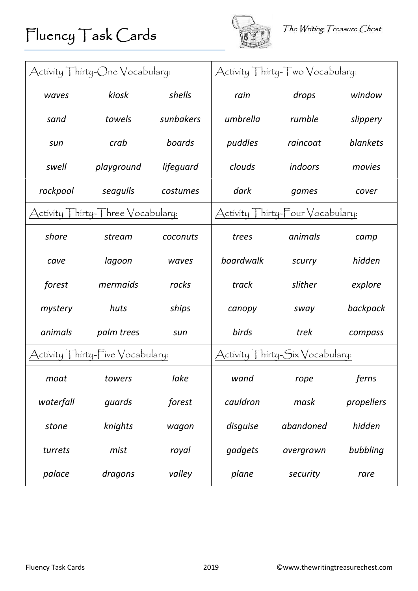



| Activity Thirty-One Vocabulary:                                        |                                                                             |           |                                 | Activity Thirty-Two Vocabulary:                              |            |
|------------------------------------------------------------------------|-----------------------------------------------------------------------------|-----------|---------------------------------|--------------------------------------------------------------|------------|
| waves                                                                  | kiosk                                                                       | shells    | rain                            | drops                                                        | window     |
| sand                                                                   | towels                                                                      | sunbakers | umbrella                        | rumble                                                       | slippery   |
| sun                                                                    | crab                                                                        | boards    | puddles                         | raincoat                                                     | blankets   |
| swell                                                                  | playground                                                                  | lifeguard | clouds                          | indoors                                                      | movies     |
| rockpool                                                               | seagulls                                                                    | costumes  | dark                            | games                                                        | cover      |
| $\lceil$ hírty- $\lceil$ hree $\sqrt{\circ}$ cabulary:<br>ctivity<br>Д |                                                                             |           | Activity                        | $\mathsf{T}$ hírty- $\mathsf{T}$ our $\mathsf{V}$ ocabulary: |            |
| shore                                                                  | stream                                                                      | coconuts  | trees                           | animals                                                      | camp       |
| cave                                                                   | lagoon                                                                      | waves     | boardwalk                       | scurry                                                       | hidden     |
| forest                                                                 | mermaids                                                                    | rocks     | track                           | slither                                                      | explore    |
| mystery                                                                | huts                                                                        | ships     | canopy                          | sway                                                         | backpack   |
| animals                                                                | palm trees                                                                  | sun       | birds                           | trek                                                         | compass    |
|                                                                        | $\bigwedge$ ctivity $\bigwedge$ hirty- $\bigwedge$ ive $\bigvee$ ocabulary: |           | Activity Thirty-Six Vocabulary: |                                                              |            |
| moat                                                                   | towers                                                                      | lake      | wand                            | rope                                                         | ferns      |
| waterfall                                                              | quards                                                                      | forest    | cauldron                        | mask                                                         | propellers |
| stone                                                                  | knights                                                                     | wagon     | disguise                        | abandoned                                                    | hidden     |
| turrets                                                                | mist                                                                        | royal     | gadgets                         | overgrown                                                    | bubbling   |
| palace                                                                 | dragons                                                                     | valley    | plane                           | security                                                     | rare       |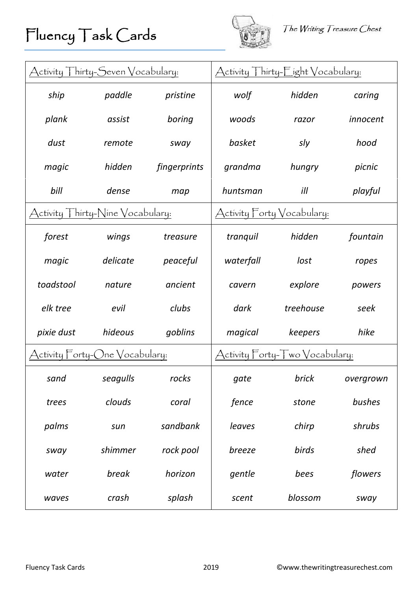

| Activity Thirty-Seven Vocabulary:                                              |                                | $\bigwedge$ ctivity $\bigwedge$ hirty- $\big\lceil \big\rfloor$ ight $\big\vee$ ocabulary: |                                |           |           |
|--------------------------------------------------------------------------------|--------------------------------|--------------------------------------------------------------------------------------------|--------------------------------|-----------|-----------|
| ship                                                                           | paddle                         | pristine                                                                                   | wolf                           | hidden    | caring    |
| plank                                                                          | assist                         | boring                                                                                     | woods                          | razor     | innocent  |
| dust                                                                           | remote                         | sway                                                                                       | basket                         | sly       | hood      |
| magic                                                                          | hidden                         | fingerprints                                                                               | grandma                        | hungry    | picnic    |
| bill                                                                           | dense                          | map                                                                                        | huntsman                       | ill       | playful   |
| $\mathsf{T}$ hírty- $\mathsf{N}$ íne $\mathsf{V}$ ocabulary:<br>ctivity  <br>Д |                                |                                                                                            | Activity Forty Vocabulary:     |           |           |
| forest                                                                         | wings                          | treasure                                                                                   | tranquil                       | hidden    | fountain  |
| magic                                                                          | delicate                       | peaceful                                                                                   | waterfall                      | lost      | ropes     |
| toadstool                                                                      | nature                         | ancient                                                                                    | cavern                         | explore   | powers    |
| elk tree                                                                       | evil                           | clubs                                                                                      | dark                           | treehouse | seek      |
| pixie dust                                                                     | hideous                        | goblins                                                                                    | magical                        | keepers   | hike      |
|                                                                                | Activity Forty-One Vocabulary: |                                                                                            | Activity Forty-Two Vocabulary: |           |           |
| sand                                                                           | seagulls                       | rocks                                                                                      | gate                           | brick     | overgrown |
| trees                                                                          | clouds                         | coral                                                                                      | fence                          | stone     | bushes    |
| palms                                                                          | sun                            | sandbank                                                                                   | leaves                         | chirp     | shrubs    |
| sway                                                                           | shimmer                        | rock pool                                                                                  | breeze                         | birds     | shed      |
| water                                                                          | break                          | horizon                                                                                    | gentle                         | bees      | flowers   |
| waves                                                                          | crash                          | splash                                                                                     | scent                          | blossom   | sway      |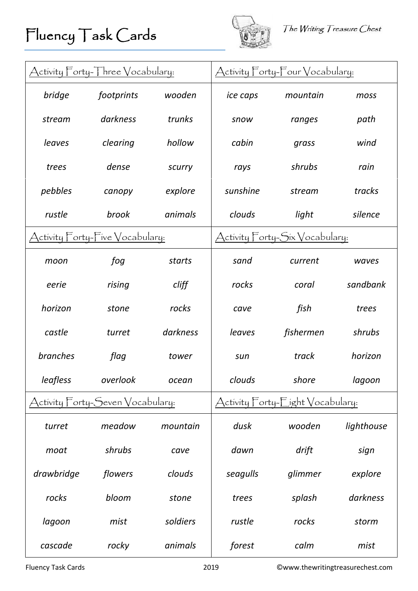## Fluency Task Cards



| Activity Forty-Three Vocabulary: |                                  | Activity Forty-Four Vocabulary: |                                  |                                        |            |
|----------------------------------|----------------------------------|---------------------------------|----------------------------------|----------------------------------------|------------|
| bridge                           | footprints                       | wooden                          | ice caps                         | mountain                               | moss       |
| stream                           | darkness                         | trunks                          | snow                             | ranges                                 | path       |
| leaves                           | clearing                         | hollow                          | cabin                            | grass                                  | wind       |
| trees                            | dense                            | scurry                          | rays                             | shrubs                                 | rain       |
| pebbles                          | canopy                           | explore                         | sunshine                         | stream                                 | tracks     |
| rustle                           | brook                            | animals                         | clouds                           | light                                  | silence    |
| Activity Forty-Five Vocabulary:  |                                  |                                 |                                  | Activity Forty- <u>Six Vocabulary:</u> |            |
| moon                             | fog                              | starts                          | sand                             | current                                | waves      |
| eerie                            | rising                           | cliff                           | rocks                            | coral                                  | sandbank   |
| horizon                          | stone                            | rocks                           | cave                             | fish                                   | trees      |
| castle                           | turret                           | darkness                        | leaves                           | fishermen                              | shrubs     |
| <b>branches</b>                  | flag                             | tower                           | sun                              | track                                  | horizon    |
| leafless                         | overlook                         | ocean                           | clouds                           | shore                                  | lagoon     |
|                                  | Activity Forty-Seven Vocabulary: |                                 | Activity Forty-Eight Vocabulary: |                                        |            |
| turret                           | meadow                           | mountain                        | dusk                             | wooden                                 | lighthouse |
| moat                             | shrubs                           | cave                            | dawn                             | drift                                  | sign       |
| drawbridge                       | flowers                          | clouds                          | seagulls                         | glimmer                                | explore    |
| rocks                            | bloom                            | stone                           | trees                            | splash                                 | darkness   |
| lagoon                           | mist                             | soldiers                        | rustle                           | rocks                                  | storm      |
| cascade                          | rocky                            | animals                         | forest                           | calm                                   | mist       |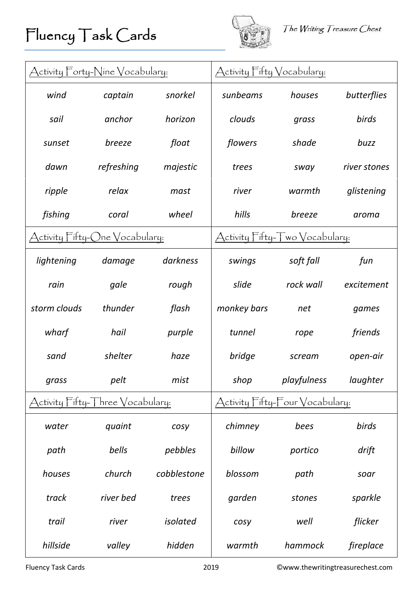

| Activity Forty-Nine Vocabulary:    |                                                        |             | Activity Fifty Vocabulary:      |                                       |              |
|------------------------------------|--------------------------------------------------------|-------------|---------------------------------|---------------------------------------|--------------|
| wind                               | captain                                                | snorkel     | sunbeams                        | houses                                | butterflies  |
| sail                               | anchor                                                 | horizon     | clouds                          | grass                                 | birds        |
| sunset                             | breeze                                                 | float       | flowers                         | shade                                 | buzz         |
| dawn                               | refreshing                                             | majestic    | trees                           | sway                                  | river stones |
| ripple                             | relax                                                  | mast        | river                           | warmth                                | glistening   |
| fishing                            | coral                                                  | wheel       | hills                           | breeze                                | aroma        |
| ctivity Fifty-(<br>)ne Vocabulary: |                                                        |             | Activity Fifty-                 | $\int$ wo $\sqrt{\text{ocabular}y}$ : |              |
| lightening                         | damage                                                 | darkness    | swings                          | soft fall                             | fun          |
| rain                               | gale                                                   | rough       | slide                           | rock wall                             | excitement   |
| storm clouds                       | thunder                                                | flash       | monkey bars                     | net                                   | games        |
| wharf                              | hail                                                   | purple      | tunnel                          | rope                                  | friends      |
| sand                               | shelter                                                | haze        | bridge                          | scream                                | open-air     |
| grass                              | pelt                                                   | mist        | shop                            | playfulness                           | laughter     |
|                                    | ctivity $\Box$ ifty- $\Box$ hree $\Diamond$ ocabulary: |             | Activity Fifty-Four Vocabulary: |                                       |              |
| water                              | quaint                                                 | cosy        | chimney                         | bees                                  | birds        |
| path                               | bells                                                  | pebbles     | billow                          | portico                               | drift        |
| houses                             | church                                                 | cobblestone | blossom                         | path                                  | soar         |
| track                              | river bed                                              | trees       | garden                          | stones                                | sparkle      |
| trail                              | river                                                  | isolated    | cosy                            | well                                  | flicker      |
| hillside                           | valley                                                 | hidden      | warmth                          | hammock                               | fireplace    |